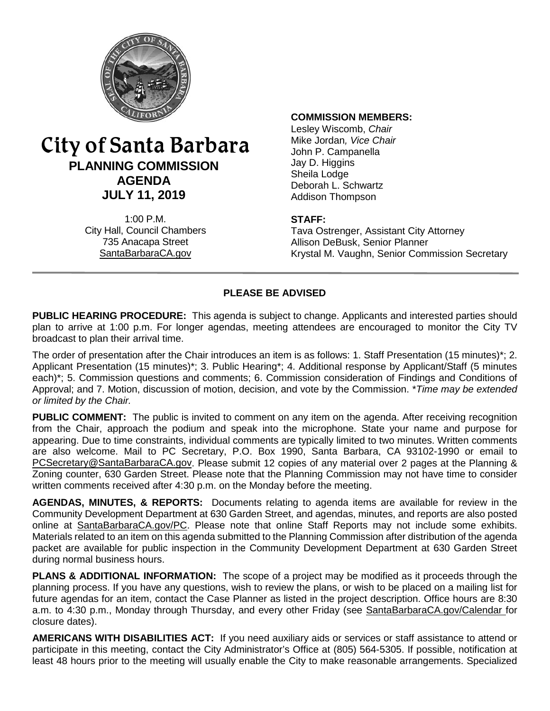

# City of Santa Barbara **PLANNING COMMISSION AGENDA JULY 11, 2019**

1:00 P.M. City Hall, Council Chambers 735 Anacapa Street SantaBarbaraCA.gov

#### **COMMISSION MEMBERS:**

Lesley Wiscomb, *Chair* Mike Jordan*, Vice Chair* John P. Campanella Jay D. Higgins Sheila Lodge Deborah L. Schwartz Addison Thompson

#### **STAFF:**

Tava Ostrenger, Assistant City Attorney Allison DeBusk, Senior Planner Krystal M. Vaughn, Senior Commission Secretary

## **PLEASE BE ADVISED**

**PUBLIC HEARING PROCEDURE:** This agenda is subject to change. Applicants and interested parties should plan to arrive at 1:00 p.m. For longer agendas, meeting attendees are encouraged to monitor the City TV broadcast to plan their arrival time.

The order of presentation after the Chair introduces an item is as follows: 1. Staff Presentation (15 minutes)\*; 2. Applicant Presentation (15 minutes)\*; 3. Public Hearing\*; 4. Additional response by Applicant/Staff (5 minutes each)\*; 5. Commission questions and comments; 6. Commission consideration of Findings and Conditions of Approval; and 7. Motion, discussion of motion, decision, and vote by the Commission. \**Time may be extended or limited by the Chair.*

**PUBLIC COMMENT:** The public is invited to comment on any item on the agenda. After receiving recognition from the Chair, approach the podium and speak into the microphone. State your name and purpose for appearing. Due to time constraints, individual comments are typically limited to two minutes. Written comments are also welcome. Mail to PC Secretary, P.O. Box 1990, Santa Barbara, CA 93102-1990 or email to [PCSecretary@SantaBarbaraCA.gov.](mailto:PCSecretary@SantaBarbaraCA.gov) Please submit 12 copies of any material over 2 pages at the Planning & Zoning counter, 630 Garden Street. Please note that the Planning Commission may not have time to consider written comments received after 4:30 p.m. on the Monday before the meeting.

**AGENDAS, MINUTES, & REPORTS:** Documents relating to agenda items are available for review in the Community Development Department at 630 Garden Street, and agendas, minutes, and reports are also posted online at [SantaBarbaraCA.gov/PC.](http://www.santabarbaraca.gov/PC) Please note that online Staff Reports may not include some exhibits. Materials related to an item on this agenda submitted to the Planning Commission after distribution of the agenda packet are available for public inspection in the Community Development Department at 630 Garden Street during normal business hours.

**PLANS & ADDITIONAL INFORMATION:** The scope of a project may be modified as it proceeds through the planning process. If you have any questions, wish to review the plans, or wish to be placed on a mailing list for future agendas for an item, contact the Case Planner as listed in the project description. Office hours are 8:30 a.m. to 4:30 p.m., Monday through Thursday, and every other Friday (see [SantaBarbaraCA.gov/Calendar](http://www.santabarbaraca.gov/cals/default.asp) for closure dates).

**AMERICANS WITH DISABILITIES ACT:** If you need auxiliary aids or services or staff assistance to attend or participate in this meeting, contact the City Administrator's Office at (805) 564-5305. If possible, notification at least 48 hours prior to the meeting will usually enable the City to make reasonable arrangements. Specialized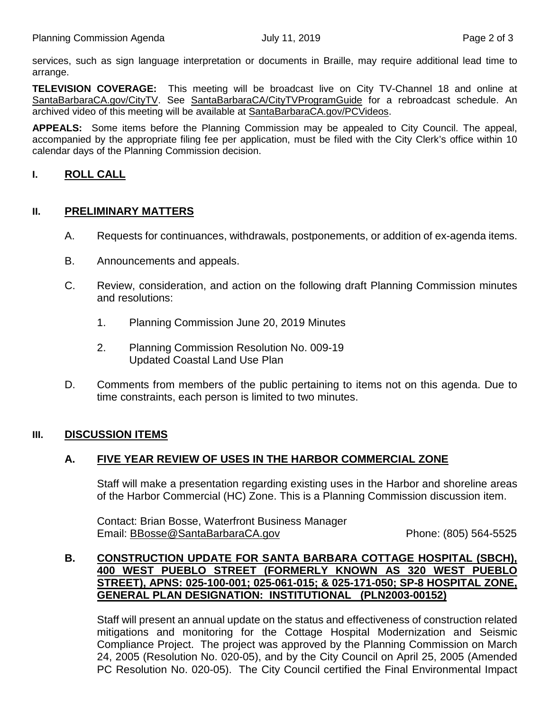services, such as sign language interpretation or documents in Braille, may require additional lead time to arrange.

**TELEVISION COVERAGE:** This meeting will be broadcast live on City TV-Channel 18 and online at [SantaBarbaraCA.gov/CityTV.](http://www.santabarbaraca.gov/CityTV) See [SantaBarbaraCA/CityTVProgramGuide](http://www.santabarbaraca.gov/gov/depts/cityadmin/programming.asp) for a rebroadcast schedule. An archived video of this meeting will be available at [SantaBarbaraCA.gov/PCVideos.](http://www.santabarbaraca.gov/PCVideos)

**APPEALS:** Some items before the Planning Commission may be appealed to City Council. The appeal, accompanied by the appropriate filing fee per application, must be filed with the City Clerk's office within 10 calendar days of the Planning Commission decision.

## **I. ROLL CALL**

#### **II. PRELIMINARY MATTERS**

- A. Requests for continuances, withdrawals, postponements, or addition of ex-agenda items.
- B. Announcements and appeals.
- C. Review, consideration, and action on the following draft Planning Commission minutes and resolutions:
	- 1. Planning Commission June 20, 2019 Minutes
	- 2. Planning Commission Resolution No. 009-19 Updated Coastal Land Use Plan
- D. Comments from members of the public pertaining to items not on this agenda. Due to time constraints, each person is limited to two minutes.

## **III. DISCUSSION ITEMS**

## **A. FIVE YEAR REVIEW OF USES IN THE HARBOR COMMERCIAL ZONE**

Staff will make a presentation regarding existing uses in the Harbor and shoreline areas of the Harbor Commercial (HC) Zone. This is a Planning Commission discussion item.

Contact: Brian Bosse, Waterfront Business Manager Email: [BBosse@SantaBarbaraCA.gov](mailto:BBosse@SantaBarbaraCA.gov) Phone: (805) 564-5525

#### **B. CONSTRUCTION UPDATE FOR SANTA BARBARA COTTAGE HOSPITAL (SBCH), 400 WEST PUEBLO STREET (FORMERLY KNOWN AS 320 WEST PUEBLO STREET), APNS: 025-100-001; 025-061-015; & 025-171-050; SP-8 HOSPITAL ZONE, GENERAL PLAN DESIGNATION: INSTITUTIONAL (PLN2003-00152)**

Staff will present an annual update on the status and effectiveness of construction related mitigations and monitoring for the Cottage Hospital Modernization and Seismic Compliance Project. The project was approved by the Planning Commission on March 24, 2005 (Resolution No. 020-05), and by the City Council on April 25, 2005 (Amended PC Resolution No. 020-05). The City Council certified the Final Environmental Impact